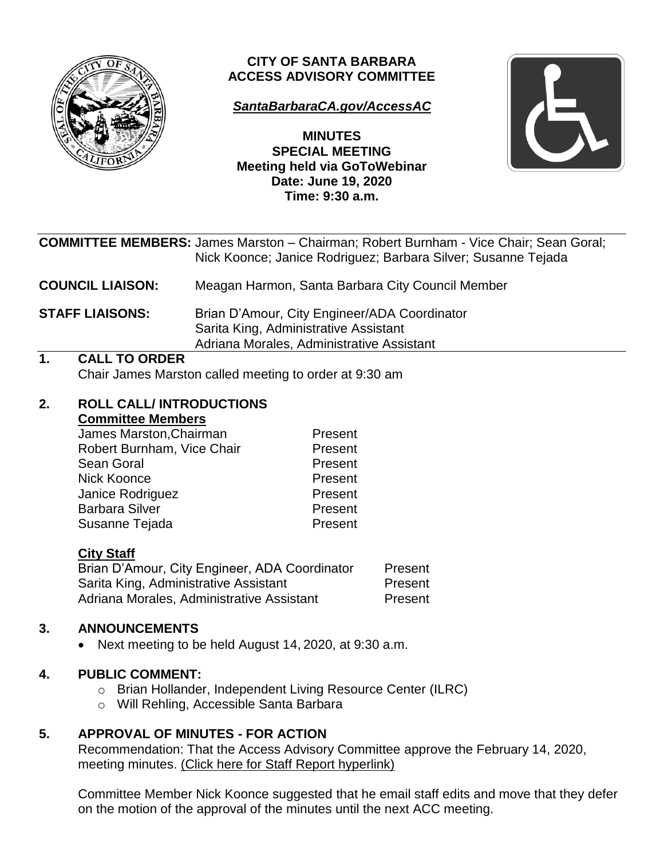

# **CITY OF SANTA BARBARA ACCESS ADVISORY COMMITTEE**

# *[SantaBarbaraCA.gov/AccessAC](https://www.santabarbaraca.gov/gov/brdcomm/ac/access/agendas.asp)*

**MINUTES SPECIAL MEETING Meeting held via GoToWebinar Date: June 19, 2020 Time: 9:30 a.m.**



|                         |                                                                                |                                                  | <b>COMMITTEE MEMBERS:</b> James Marston - Chairman; Robert Burnham - Vice Chair; Sean Goral;<br>Nick Koonce; Janice Rodriguez; Barbara Silver; Susanne Tejada |  |
|-------------------------|--------------------------------------------------------------------------------|--------------------------------------------------|---------------------------------------------------------------------------------------------------------------------------------------------------------------|--|
| <b>COUNCIL LIAISON:</b> |                                                                                | Meagan Harmon, Santa Barbara City Council Member |                                                                                                                                                               |  |
|                         | <b>STAFF LIAISONS:</b>                                                         |                                                  | Brian D'Amour, City Engineer/ADA Coordinator<br>Sarita King, Administrative Assistant<br>Adriana Morales, Administrative Assistant                            |  |
| 1.                      | <b>CALL TO ORDER</b><br>Chair James Marston called meeting to order at 9:30 am |                                                  |                                                                                                                                                               |  |
| 2.                      | <b>ROLL CALL/INTRODUCTIONS</b><br><b>Committee Members</b>                     |                                                  |                                                                                                                                                               |  |
|                         | James Marston, Chairman                                                        |                                                  | Present                                                                                                                                                       |  |
|                         | Robert Burnham, Vice Chair                                                     |                                                  | Present                                                                                                                                                       |  |
|                         | Sean Goral                                                                     |                                                  | Present                                                                                                                                                       |  |
|                         | Nick Koonce                                                                    |                                                  | Present                                                                                                                                                       |  |
|                         | Janice Rodriguez                                                               |                                                  | Present                                                                                                                                                       |  |
|                         | <b>Barbara Silver</b>                                                          |                                                  | Present                                                                                                                                                       |  |
|                         | Susanne Tejada                                                                 |                                                  | Present                                                                                                                                                       |  |

# **City Staff**

| Brian D'Amour, City Engineer, ADA Coordinator | Present |
|-----------------------------------------------|---------|
| Sarita King, Administrative Assistant         | Present |
| Adriana Morales, Administrative Assistant     | Present |

# **3. ANNOUNCEMENTS**

Next meeting to be held August 14, 2020, at 9:30 a.m.

# **4. PUBLIC COMMENT:**

- o Brian Hollander, Independent Living Resource Center (ILRC)
- o Will Rehling, Accessible Santa Barbara

# **5. APPROVAL OF MINUTES - FOR ACTION**

Recommendation: That the Access Advisory Committee approve the February 14, 2020, meeting minutes. [\(Click here for Staff Report hyperlink\)](https://www.santabarbaraca.gov/civicax/filebank/blobdload.aspx?BlobID=228035)

Committee Member Nick Koonce suggested that he email staff edits and move that they defer on the motion of the approval of the minutes until the next ACC meeting.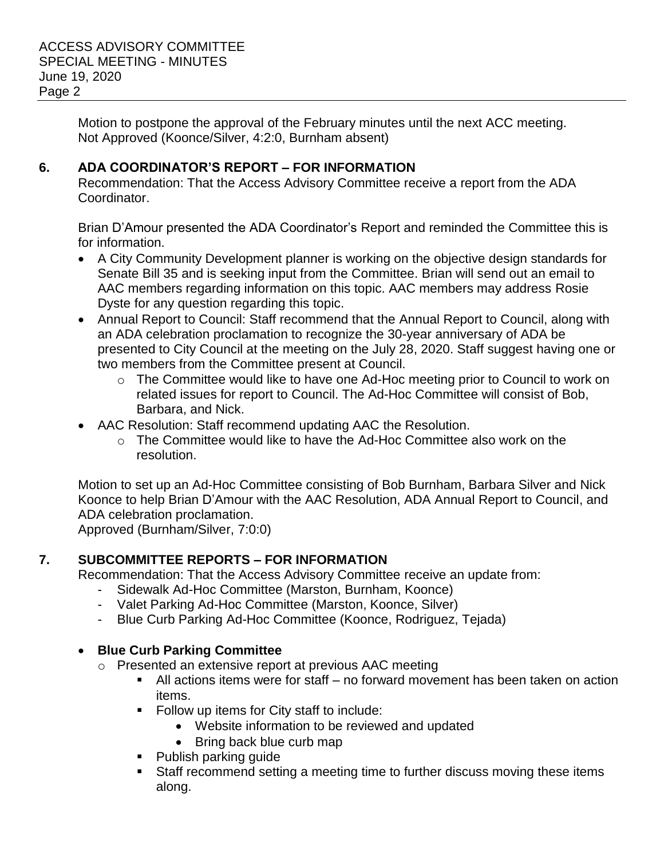Motion to postpone the approval of the February minutes until the next ACC meeting. Not Approved (Koonce/Silver, 4:2:0, Burnham absent)

## **6. ADA COORDINATOR'S REPORT – FOR INFORMATION**

Recommendation: That the Access Advisory Committee receive a report from the ADA Coordinator.

Brian D'Amour presented the ADA Coordinator's Report and reminded the Committee this is for information.

- A City Community Development planner is working on the objective design standards for Senate Bill 35 and is seeking input from the Committee. Brian will send out an email to AAC members regarding information on this topic. AAC members may address Rosie Dyste for any question regarding this topic.
- Annual Report to Council: Staff recommend that the Annual Report to Council, along with an ADA celebration proclamation to recognize the 30-year anniversary of ADA be presented to City Council at the meeting on the July 28, 2020. Staff suggest having one or two members from the Committee present at Council.
	- o The Committee would like to have one Ad-Hoc meeting prior to Council to work on related issues for report to Council. The Ad-Hoc Committee will consist of Bob, Barbara, and Nick.
- AAC Resolution: Staff recommend updating AAC the Resolution.
	- $\circ$  The Committee would like to have the Ad-Hoc Committee also work on the resolution.

Motion to set up an Ad-Hoc Committee consisting of Bob Burnham, Barbara Silver and Nick Koonce to help Brian D'Amour with the AAC Resolution, ADA Annual Report to Council, and ADA celebration proclamation.

Approved (Burnham/Silver, 7:0:0)

# **7. SUBCOMMITTEE REPORTS – FOR INFORMATION**

Recommendation: That the Access Advisory Committee receive an update from:

- Sidewalk Ad-Hoc Committee (Marston, Burnham, Koonce)
- Valet Parking Ad-Hoc Committee (Marston, Koonce, Silver)
- Blue Curb Parking Ad-Hoc Committee (Koonce, Rodriguez, Tejada)

# **Blue Curb Parking Committee**

- o Presented an extensive report at previous AAC meeting
	- All actions items were for staff no forward movement has been taken on action items.
	- **Follow up items for City staff to include:** 
		- Website information to be reviewed and updated
		- Bring back blue curb map
	- Publish parking guide
	- Staff recommend setting a meeting time to further discuss moving these items along.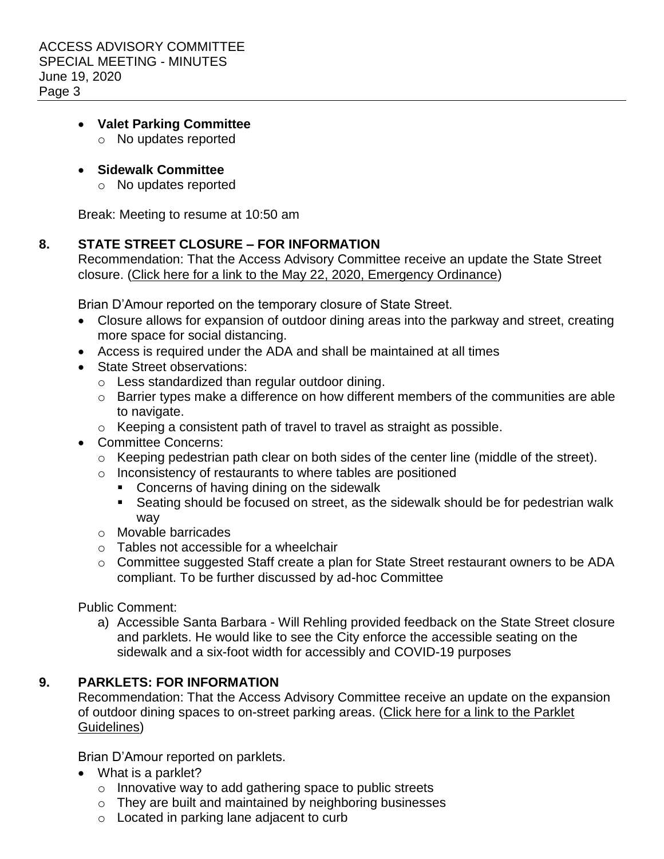#### **Valet Parking Committee**

- o No updates reported
- **Sidewalk Committee** 
	- o No updates reported

Break: Meeting to resume at 10:50 am

## **8. STATE STREET CLOSURE – FOR INFORMATION**

Recommendation: That the Access Advisory Committee receive an update the State Street closure. [\(Click here for a link to the May 22, 2020, Emergency Ordinance\)](https://www.santabarbaraca.gov/civicax/filebank/blobdload.aspx?BlobID=228123)

Brian D'Amour reported on the temporary closure of State Street.

- Closure allows for expansion of outdoor dining areas into the parkway and street, creating more space for social distancing.
- Access is required under the ADA and shall be maintained at all times
- State Street observations:
	- o Less standardized than regular outdoor dining.
	- o Barrier types make a difference on how different members of the communities are able to navigate.
	- o Keeping a consistent path of travel to travel as straight as possible.
- Committee Concerns:
	- o Keeping pedestrian path clear on both sides of the center line (middle of the street).
	- o Inconsistency of restaurants to where tables are positioned
		- **Concerns of having dining on the sidewalk**
		- Seating should be focused on street, as the sidewalk should be for pedestrian walk way
	- o Movable barricades
	- $\circ$  Tables not accessible for a wheelchair
	- o Committee suggested Staff create a plan for State Street restaurant owners to be ADA compliant. To be further discussed by ad-hoc Committee

Public Comment:

a) Accessible Santa Barbara - Will Rehling provided feedback on the State Street closure and parklets. He would like to see the City enforce the accessible seating on the sidewalk and a six-foot width for accessibly and COVID-19 purposes

## **9. PARKLETS: FOR INFORMATION**

Recommendation: That the Access Advisory Committee receive an update on the expansion of outdoor dining spaces to on-street parking areas. (Click here for a link to the Parklet [Guidelines\)](https://www.santabarbaraca.gov/civicax/filebank/blobdload.aspx?BlobID=228126)

Brian D'Amour reported on parklets.

- What is a parklet?
	- $\circ$  Innovative way to add gathering space to public streets
	- o They are built and maintained by neighboring businesses
	- o Located in parking lane adjacent to curb